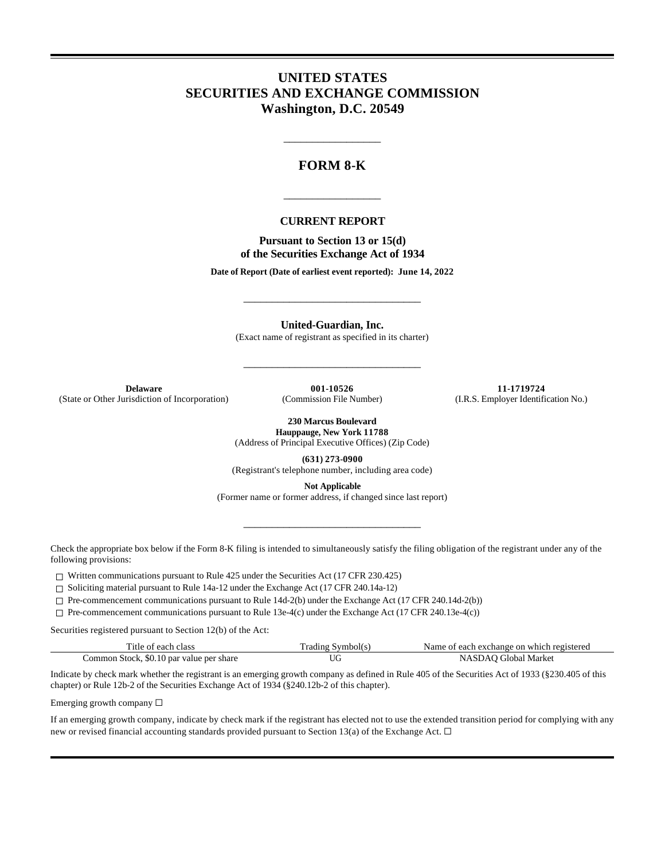## **UNITED STATES SECURITIES AND EXCHANGE COMMISSION Washington, D.C. 20549**

### **FORM 8-K**

\_\_\_\_\_\_\_\_\_\_\_\_\_\_\_\_\_

#### **CURRENT REPORT**

\_\_\_\_\_\_\_\_\_\_\_\_\_\_\_\_\_

**Pursuant to Section 13 or 15(d) of the Securities Exchange Act of 1934**

**Date of Report (Date of earliest event reported): June 14, 2022**

**United-Guardian, Inc.**

\_\_\_\_\_\_\_\_\_\_\_\_\_\_\_\_\_\_\_\_\_\_\_\_\_\_\_\_\_\_\_

(Exact name of registrant as specified in its charter)

\_\_\_\_\_\_\_\_\_\_\_\_\_\_\_\_\_\_\_\_\_\_\_\_\_\_\_\_\_\_\_

(State or Other Jurisdiction of Incorporation)

**Delaware 001-10526 11-1719724 11-1719724 11-1719724 11-1719724 11-1719724 11-1719724 11-1719724 11-1719724 11-1719724 11-1719724 11-1719724 11-1719724 11-1719724 11-1719724 11-1719724 11-**

**230 Marcus Boulevard Hauppauge, New York 11788**

(Address of Principal Executive Offices) (Zip Code)

**(631) 273-0900**

(Registrant's telephone number, including area code)

**Not Applicable** (Former name or former address, if changed since last report)

\_\_\_\_\_\_\_\_\_\_\_\_\_\_\_\_\_\_\_\_\_\_\_\_\_\_\_\_\_\_\_

Check the appropriate box below if the Form 8-K filing is intended to simultaneously satisfy the filing obligation of the registrant under any of the following provisions:

 $\Box$  Written communications pursuant to Rule 425 under the Securities Act (17 CFR 230.425)

☐ Soliciting material pursuant to Rule 14a-12 under the Exchange Act (17 CFR 240.14a-12)

☐ Pre-commencement communications pursuant to Rule 14d-2(b) under the Exchange Act (17 CFR 240.14d-2(b))

☐ Pre-commencement communications pursuant to Rule 13e-4(c) under the Exchange Act (17 CFR 240.13e-4(c))

Securities registered pursuant to Section 12(b) of the Act:

| Title of each class                      | Trading Symbol(s) | Name of each exchange on which registered |
|------------------------------------------|-------------------|-------------------------------------------|
| Common Stock, \$0.10 par value per share | UU                | NASDAO Global Market                      |

Indicate by check mark whether the registrant is an emerging growth company as defined in Rule 405 of the Securities Act of 1933 (§230.405 of this chapter) or Rule 12b-2 of the Securities Exchange Act of 1934 (§240.12b-2 of this chapter).

Emerging growth company ☐

If an emerging growth company, indicate by check mark if the registrant has elected not to use the extended transition period for complying with any new or revised financial accounting standards provided pursuant to Section 13(a) of the Exchange Act.  $\Box$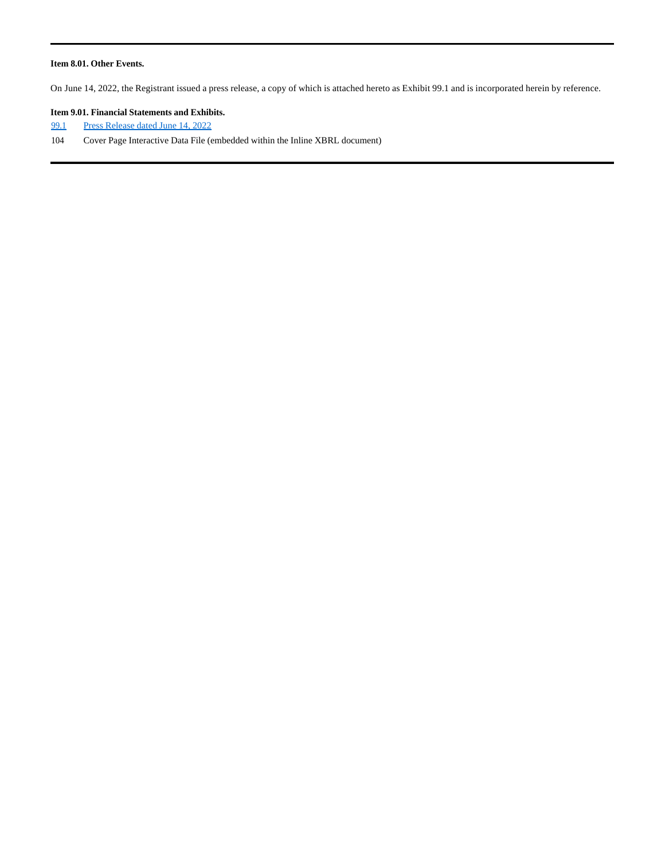#### **Item 8.01. Other Events.**

On June 14, 2022, the Registrant issued a press release, a copy of which is attached hereto as Exhibit 99.1 and is incorporated herein by reference.

#### **Item 9.01. Financial Statements and Exhibits.**

- 99.1 Press Release dated June 14, 2022
- 104 Cover Page Interactive Data File (embedded within the Inline XBRL document)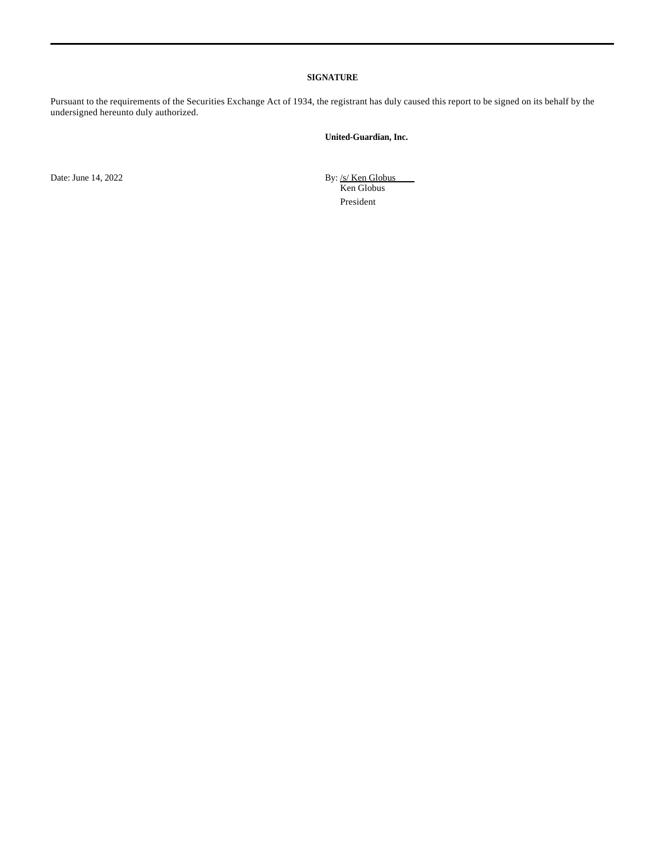#### **SIGNATURE**

Pursuant to the requirements of the Securities Exchange Act of 1934, the registrant has duly caused this report to be signed on its behalf by the undersigned hereunto duly authorized.

### **United-Guardian, Inc.**

Date: June 14, 2022 By: /s/ Ken Globus

Ken Globus President